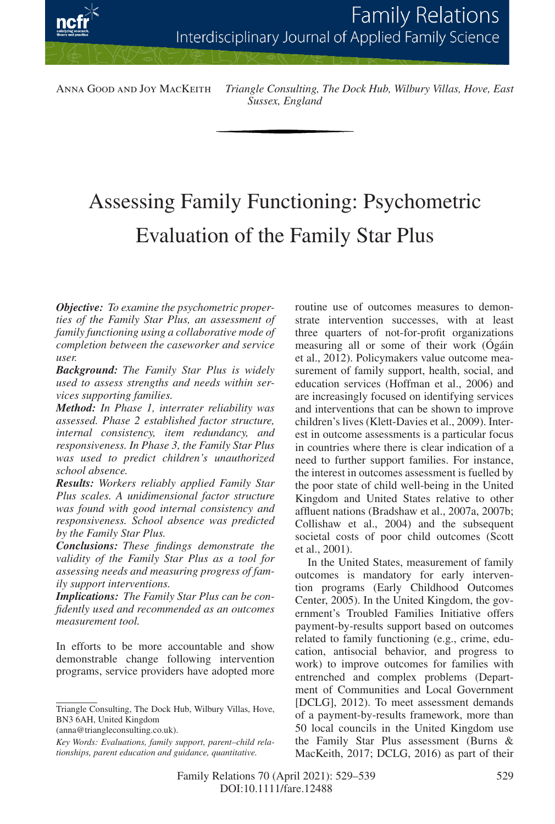

Anna Good and Joy MacKeith *Triangle Consulting, The Dock Hub, Wilbury Villas, Hove, East Sussex, England*

# Assessing Family Functioning: Psychometric Evaluation of the Family Star Plus

*Objective: To examine the psychometric properties of the Family Star Plus, an assessment of family functioning using a collaborative mode of completion between the caseworker and service user.*

*Background: The Family Star Plus is widely used to assess strengths and needs within services supporting families.*

*Method: In Phase 1, interrater reliability was assessed. Phase 2 established factor structure, internal consistency, item redundancy, and responsiveness. In Phase 3, the Family Star Plus was used to predict children's unauthorized school absence.*

*Results: Workers reliably applied Family Star Plus scales. A unidimensional factor structure was found with good internal consistency and responsiveness. School absence was predicted by the Family Star Plus.*

*Conclusions: These findings demonstrate the validity of the Family Star Plus as a tool for assessing needs and measuring progress of family support interventions.*

*Implications: The Family Star Plus can be confidently used and recommended as an outcomes measurement tool.*

In efforts to be more accountable and show demonstrable change following intervention programs, service providers have adopted more

(anna@triangleconsulting.co.uk).

routine use of outcomes measures to demonstrate intervention successes, with at least three quarters of not-for-profit organizations measuring all or some of their work (Ógáin et al., 2012). Policymakers value outcome measurement of family support, health, social, and education services (Hoffman et al., 2006) and are increasingly focused on identifying services and interventions that can be shown to improve children's lives (Klett-Davies et al., 2009). Interest in outcome assessments is a particular focus in countries where there is clear indication of a need to further support families. For instance, the interest in outcomes assessment is fuelled by the poor state of child well-being in the United Kingdom and United States relative to other affluent nations (Bradshaw et al., 2007a, 2007b; Collishaw et al., 2004) and the subsequent societal costs of poor child outcomes (Scott et al., 2001).

In the United States, measurement of family outcomes is mandatory for early intervention programs (Early Childhood Outcomes Center, 2005). In the United Kingdom, the government's Troubled Families Initiative offers payment-by-results support based on outcomes related to family functioning (e.g., crime, education, antisocial behavior, and progress to work) to improve outcomes for families with entrenched and complex problems (Department of Communities and Local Government [DCLG], 2012). To meet assessment demands of a payment-by-results framework, more than 50 local councils in the United Kingdom use the Family Star Plus assessment (Burns & MacKeith, 2017; DCLG, 2016) as part of their

Triangle Consulting, The Dock Hub, Wilbury Villas, Hove, BN3 6AH, United Kingdom

*Key Words: Evaluations, family support, parent–child relationships, parent education and guidance, quantitative.*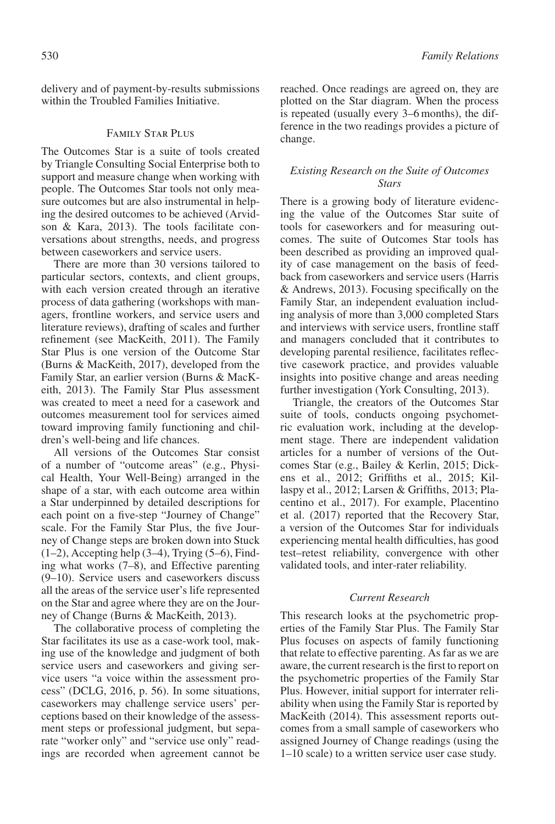delivery and of payment-by-results submissions within the Troubled Families Initiative.

## Family Star Plus

The Outcomes Star is a suite of tools created by Triangle Consulting Social Enterprise both to support and measure change when working with people. The Outcomes Star tools not only measure outcomes but are also instrumental in helping the desired outcomes to be achieved (Arvidson & Kara, 2013). The tools facilitate conversations about strengths, needs, and progress between caseworkers and service users.

There are more than 30 versions tailored to particular sectors, contexts, and client groups, with each version created through an iterative process of data gathering (workshops with managers, frontline workers, and service users and literature reviews), drafting of scales and further refinement (see MacKeith, 2011). The Family Star Plus is one version of the Outcome Star (Burns & MacKeith, 2017), developed from the Family Star, an earlier version (Burns & MacKeith, 2013). The Family Star Plus assessment was created to meet a need for a casework and outcomes measurement tool for services aimed toward improving family functioning and children's well-being and life chances.

All versions of the Outcomes Star consist of a number of "outcome areas" (e.g., Physical Health, Your Well-Being) arranged in the shape of a star, with each outcome area within a Star underpinned by detailed descriptions for each point on a five-step "Journey of Change" scale. For the Family Star Plus, the five Journey of Change steps are broken down into Stuck  $(1–2)$ , Accepting help  $(3–4)$ , Trying  $(5–6)$ , Finding what works (7–8), and Effective parenting (9–10). Service users and caseworkers discuss all the areas of the service user's life represented on the Star and agree where they are on the Journey of Change (Burns & MacKeith, 2013).

The collaborative process of completing the Star facilitates its use as a case-work tool, making use of the knowledge and judgment of both service users and caseworkers and giving service users "a voice within the assessment process" (DCLG, 2016, p. 56). In some situations, caseworkers may challenge service users' perceptions based on their knowledge of the assessment steps or professional judgment, but separate "worker only" and "service use only" readings are recorded when agreement cannot be reached. Once readings are agreed on, they are plotted on the Star diagram. When the process is repeated (usually every 3–6 months), the difference in the two readings provides a picture of change.

## *Existing Research on the Suite of Outcomes Stars*

There is a growing body of literature evidencing the value of the Outcomes Star suite of tools for caseworkers and for measuring outcomes. The suite of Outcomes Star tools has been described as providing an improved quality of case management on the basis of feedback from caseworkers and service users (Harris & Andrews, 2013). Focusing specifically on the Family Star, an independent evaluation including analysis of more than 3,000 completed Stars and interviews with service users, frontline staff and managers concluded that it contributes to developing parental resilience, facilitates reflective casework practice, and provides valuable insights into positive change and areas needing further investigation (York Consulting, 2013).

Triangle, the creators of the Outcomes Star suite of tools, conducts ongoing psychometric evaluation work, including at the development stage. There are independent validation articles for a number of versions of the Outcomes Star (e.g., Bailey & Kerlin, 2015; Dickens et al., 2012; Griffiths et al., 2015; Killaspy et al., 2012; Larsen & Griffiths, 2013; Placentino et al., 2017). For example, Placentino et al. (2017) reported that the Recovery Star, a version of the Outcomes Star for individuals experiencing mental health difficulties, has good test–retest reliability, convergence with other validated tools, and inter-rater reliability.

## *Current Research*

This research looks at the psychometric properties of the Family Star Plus. The Family Star Plus focuses on aspects of family functioning that relate to effective parenting. As far as we are aware, the current research is the first to report on the psychometric properties of the Family Star Plus. However, initial support for interrater reliability when using the Family Star is reported by MacKeith (2014). This assessment reports outcomes from a small sample of caseworkers who assigned Journey of Change readings (using the 1–10 scale) to a written service user case study.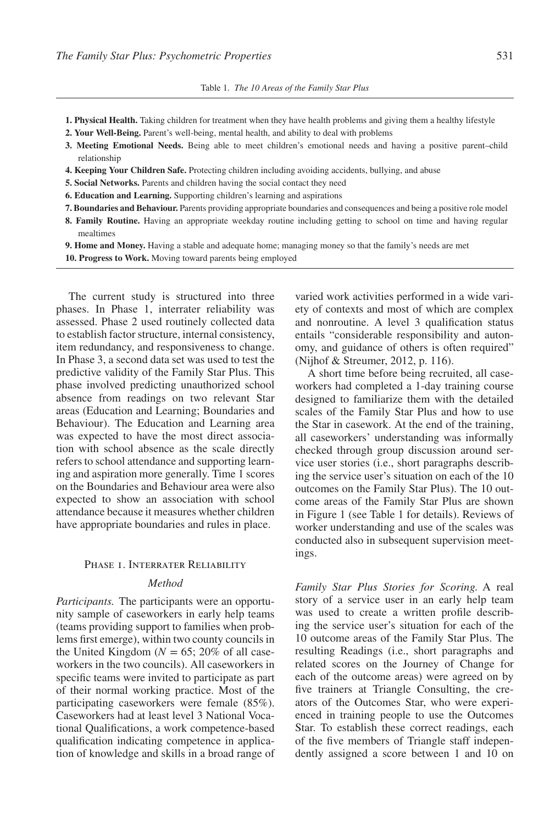- **1. Physical Health.** Taking children for treatment when they have health problems and giving them a healthy lifestyle
- **2. Your Well-Being.** Parent's well-being, mental health, and ability to deal with problems
- **3. Meeting Emotional Needs.** Being able to meet children's emotional needs and having a positive parent–child relationship
- **4. Keeping Your Children Safe.** Protecting children including avoiding accidents, bullying, and abuse
- **5. Social Networks.** Parents and children having the social contact they need
- **6. Education and Learning.** Supporting children's learning and aspirations
- **7. Boundaries and Behaviour.** Parents providing appropriate boundaries and consequences and being a positive role model
- **8. Family Routine.** Having an appropriate weekday routine including getting to school on time and having regular mealtimes

**9. Home and Money.** Having a stable and adequate home; managing money so that the family's needs are met

**10. Progress to Work.** Moving toward parents being employed

The current study is structured into three phases. In Phase 1, interrater reliability was assessed. Phase 2 used routinely collected data to establish factor structure, internal consistency, item redundancy, and responsiveness to change. In Phase 3, a second data set was used to test the predictive validity of the Family Star Plus. This phase involved predicting unauthorized school absence from readings on two relevant Star areas (Education and Learning; Boundaries and Behaviour). The Education and Learning area was expected to have the most direct association with school absence as the scale directly refers to school attendance and supporting learning and aspiration more generally. Time 1 scores on the Boundaries and Behaviour area were also expected to show an association with school attendance because it measures whether children have appropriate boundaries and rules in place.

### PHASE 1. INTERRATER RELIABILITY

## *Method*

*Participants.* The participants were an opportunity sample of caseworkers in early help teams (teams providing support to families when problems first emerge), within two county councils in the United Kingdom ( $N = 65$ ; 20% of all caseworkers in the two councils). All caseworkers in specific teams were invited to participate as part of their normal working practice. Most of the participating caseworkers were female (85%). Caseworkers had at least level 3 National Vocational Qualifications, a work competence-based qualification indicating competence in application of knowledge and skills in a broad range of

varied work activities performed in a wide variety of contexts and most of which are complex and nonroutine. A level 3 qualification status entails "considerable responsibility and autonomy, and guidance of others is often required" (Nijhof & Streumer, 2012, p. 116).

A short time before being recruited, all caseworkers had completed a 1-day training course designed to familiarize them with the detailed scales of the Family Star Plus and how to use the Star in casework. At the end of the training, all caseworkers' understanding was informally checked through group discussion around service user stories (i.e., short paragraphs describing the service user's situation on each of the 10 outcomes on the Family Star Plus). The 10 outcome areas of the Family Star Plus are shown in Figure 1 (see Table 1 for details). Reviews of worker understanding and use of the scales was conducted also in subsequent supervision meetings.

*Family Star Plus Stories for Scoring.* A real story of a service user in an early help team was used to create a written profile describing the service user's situation for each of the 10 outcome areas of the Family Star Plus. The resulting Readings (i.e., short paragraphs and related scores on the Journey of Change for each of the outcome areas) were agreed on by five trainers at Triangle Consulting, the creators of the Outcomes Star, who were experienced in training people to use the Outcomes Star. To establish these correct readings, each of the five members of Triangle staff independently assigned a score between 1 and 10 on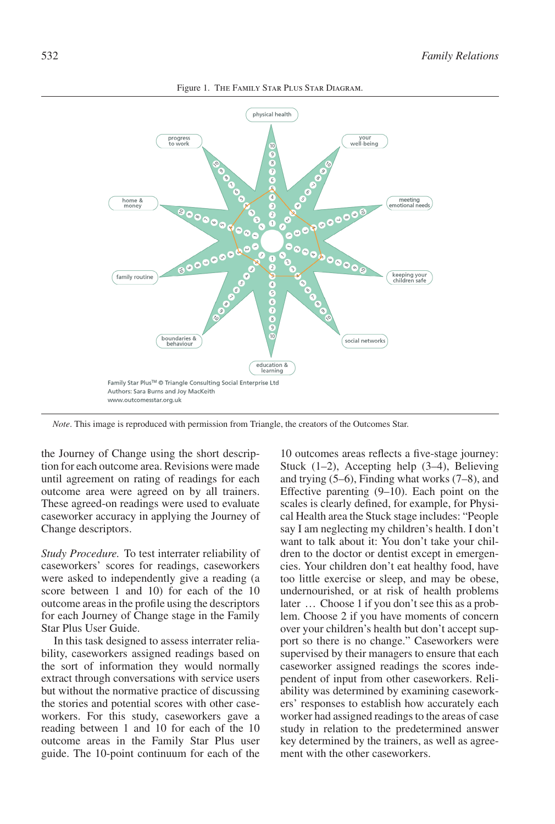

Figure 1. The Family Star Plus Star Diagram.

*Note*. This image is reproduced with permission from Triangle, the creators of the Outcomes Star.

the Journey of Change using the short description for each outcome area. Revisions were made until agreement on rating of readings for each outcome area were agreed on by all trainers. These agreed-on readings were used to evaluate caseworker accuracy in applying the Journey of Change descriptors.

*Study Procedure.* To test interrater reliability of caseworkers' scores for readings, caseworkers were asked to independently give a reading (a score between 1 and 10) for each of the 10 outcome areas in the profile using the descriptors for each Journey of Change stage in the Family Star Plus User Guide.

In this task designed to assess interrater reliability, caseworkers assigned readings based on the sort of information they would normally extract through conversations with service users but without the normative practice of discussing the stories and potential scores with other caseworkers. For this study, caseworkers gave a reading between 1 and 10 for each of the 10 outcome areas in the Family Star Plus user guide. The 10-point continuum for each of the

10 outcomes areas reflects a five-stage journey: Stuck (1–2), Accepting help (3–4), Believing and trying (5–6), Finding what works (7–8), and Effective parenting (9–10). Each point on the scales is clearly defined, for example, for Physical Health area the Stuck stage includes: "People say I am neglecting my children's health. I don't want to talk about it: You don't take your children to the doctor or dentist except in emergencies. Your children don't eat healthy food, have too little exercise or sleep, and may be obese, undernourished, or at risk of health problems later ... Choose 1 if you don't see this as a problem. Choose 2 if you have moments of concern over your children's health but don't accept support so there is no change." Caseworkers were supervised by their managers to ensure that each caseworker assigned readings the scores independent of input from other caseworkers. Reliability was determined by examining caseworkers' responses to establish how accurately each worker had assigned readings to the areas of case study in relation to the predetermined answer key determined by the trainers, as well as agreement with the other caseworkers.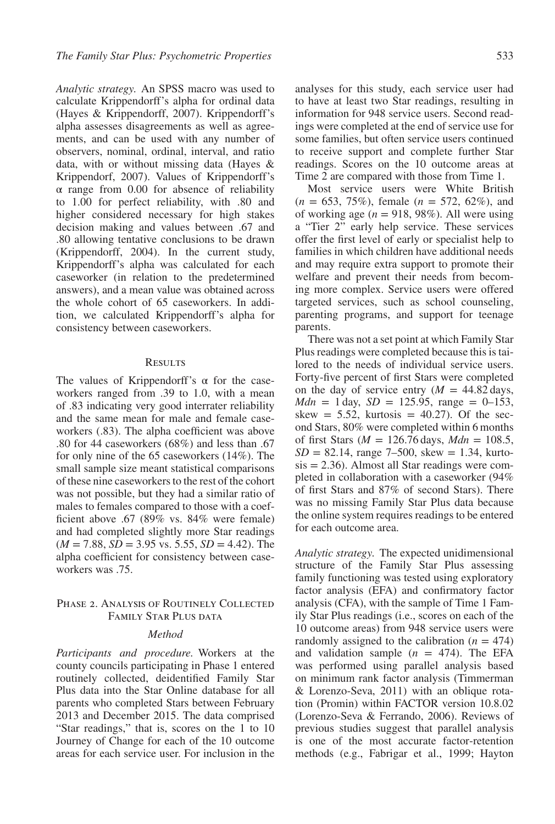*Analytic strategy.* An SPSS macro was used to calculate Krippendorff's alpha for ordinal data (Hayes & Krippendorff, 2007). Krippendorff's alpha assesses disagreements as well as agreements, and can be used with any number of observers, nominal, ordinal, interval, and ratio data, with or without missing data (Hayes & Krippendorf, 2007). Values of Krippendorff's α range from 0.00 for absence of reliability to 1.00 for perfect reliability, with .80 and higher considered necessary for high stakes decision making and values between .67 and .80 allowing tentative conclusions to be drawn (Krippendorff, 2004). In the current study, Krippendorff's alpha was calculated for each caseworker (in relation to the predetermined answers), and a mean value was obtained across the whole cohort of 65 caseworkers. In addition, we calculated Krippendorff's alpha for consistency between caseworkers.

#### **RESULTS**

The values of Krippendorff's  $\alpha$  for the caseworkers ranged from .39 to 1.0, with a mean of .83 indicating very good interrater reliability and the same mean for male and female caseworkers (.83). The alpha coefficient was above .80 for 44 caseworkers (68%) and less than .67 for only nine of the 65 caseworkers (14%). The small sample size meant statistical comparisons of these nine caseworkers to the rest of the cohort was not possible, but they had a similar ratio of males to females compared to those with a coefficient above .67 (89% vs. 84% were female) and had completed slightly more Star readings  $(M = 7.88, SD = 3.95$  vs. 5.55,  $SD = 4.42$ ). The alpha coefficient for consistency between caseworkers was .75.

### PHASE 2. ANALYSIS OF ROUTINELY COLLECTED FAMILY STAR PLUS DATA

#### *Method*

*Participants and procedure.* Workers at the county councils participating in Phase 1 entered routinely collected, deidentified Family Star Plus data into the Star Online database for all parents who completed Stars between February 2013 and December 2015. The data comprised "Star readings," that is, scores on the 1 to 10 Journey of Change for each of the 10 outcome areas for each service user. For inclusion in the analyses for this study, each service user had to have at least two Star readings, resulting in information for 948 service users. Second readings were completed at the end of service use for some families, but often service users continued to receive support and complete further Star readings. Scores on the 10 outcome areas at Time 2 are compared with those from Time 1.

Most service users were White British (*n* = 653, 75%), female (*n* = 572, 62%), and of working age  $(n = 918, 98\%)$ . All were using a "Tier 2" early help service. These services offer the first level of early or specialist help to families in which children have additional needs and may require extra support to promote their welfare and prevent their needs from becoming more complex. Service users were offered targeted services, such as school counseling, parenting programs, and support for teenage parents.

There was not a set point at which Family Star Plus readings were completed because this is tailored to the needs of individual service users. Forty-five percent of first Stars were completed on the day of service entry  $(M = 44.82 \text{ days})$ ,  $Mdn = 1 \text{ day}, SD = 125.95, range = 0-153,$ skew  $= 5.52$ , kurtosis  $= 40.27$ ). Of the second Stars, 80% were completed within 6 months of first Stars ( $M = 126.76$  days,  $Mdn = 108.5$ ,  $SD = 82.14$ , range 7–500, skew = 1.34, kurto $sis = 2.36$ ). Almost all Star readings were completed in collaboration with a caseworker (94% of first Stars and 87% of second Stars). There was no missing Family Star Plus data because the online system requires readings to be entered for each outcome area.

*Analytic strategy.* The expected unidimensional structure of the Family Star Plus assessing family functioning was tested using exploratory factor analysis (EFA) and confirmatory factor analysis (CFA), with the sample of Time 1 Family Star Plus readings (i.e., scores on each of the 10 outcome areas) from 948 service users were randomly assigned to the calibration  $(n = 474)$ and validation sample  $(n = 474)$ . The EFA was performed using parallel analysis based on minimum rank factor analysis (Timmerman & Lorenzo-Seva, 2011) with an oblique rotation (Promin) within FACTOR version 10.8.02 (Lorenzo-Seva & Ferrando, 2006). Reviews of previous studies suggest that parallel analysis is one of the most accurate factor-retention methods (e.g., Fabrigar et al., 1999; Hayton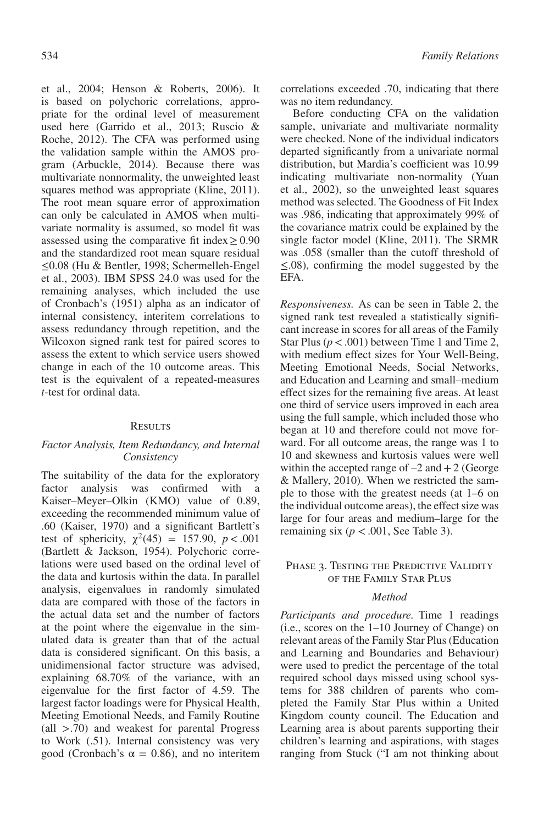et al., 2004; Henson & Roberts, 2006). It is based on polychoric correlations, appropriate for the ordinal level of measurement used here (Garrido et al., 2013; Ruscio & Roche, 2012). The CFA was performed using the validation sample within the AMOS program (Arbuckle, 2014). Because there was multivariate nonnormality, the unweighted least squares method was appropriate (Kline, 2011). The root mean square error of approximation can only be calculated in AMOS when multivariate normality is assumed, so model fit was assessed using the comparative fit index  $\geq 0.90$ and the standardized root mean square residual ≤0.08 (Hu & Bentler, 1998; Schermelleh-Engel et al., 2003). IBM SPSS 24.0 was used for the remaining analyses, which included the use of Cronbach's (1951) alpha as an indicator of internal consistency, interitem correlations to assess redundancy through repetition, and the Wilcoxon signed rank test for paired scores to assess the extent to which service users showed change in each of the 10 outcome areas. This test is the equivalent of a repeated-measures *t*-test for ordinal data.

#### **RESULTS**

# *Factor Analysis, Item Redundancy, and Internal Consistency*

The suitability of the data for the exploratory factor analysis was confirmed with a Kaiser–Meyer–Olkin (KMO) value of 0.89, exceeding the recommended minimum value of .60 (Kaiser, 1970) and a significant Bartlett's test of sphericity,  $\chi^2(45) = 157.90, p < .001$ (Bartlett & Jackson, 1954). Polychoric correlations were used based on the ordinal level of the data and kurtosis within the data. In parallel analysis, eigenvalues in randomly simulated data are compared with those of the factors in the actual data set and the number of factors at the point where the eigenvalue in the simulated data is greater than that of the actual data is considered significant. On this basis, a unidimensional factor structure was advised, explaining 68.70% of the variance, with an eigenvalue for the first factor of 4.59. The largest factor loadings were for Physical Health, Meeting Emotional Needs, and Family Routine (all *>*.70) and weakest for parental Progress to Work (.51). Internal consistency was very good (Cronbach's  $\alpha = 0.86$ ), and no interitem

correlations exceeded .70, indicating that there was no item redundancy.

Before conducting CFA on the validation sample, univariate and multivariate normality were checked. None of the individual indicators departed significantly from a univariate normal distribution, but Mardia's coefficient was 10.99 indicating multivariate non-normality (Yuan et al., 2002), so the unweighted least squares method was selected. The Goodness of Fit Index was .986, indicating that approximately 99% of the covariance matrix could be explained by the single factor model (Kline, 2011). The SRMR was .058 (smaller than the cutoff threshold of ≤.08), confirming the model suggested by the EFA.

*Responsiveness.* As can be seen in Table 2, the signed rank test revealed a statistically significant increase in scores for all areas of the Family Star Plus ( $p < .001$ ) between Time 1 and Time 2, with medium effect sizes for Your Well-Being, Meeting Emotional Needs, Social Networks, and Education and Learning and small–medium effect sizes for the remaining five areas. At least one third of service users improved in each area using the full sample, which included those who began at 10 and therefore could not move forward. For all outcome areas, the range was 1 to 10 and skewness and kurtosis values were well within the accepted range of  $-2$  and  $+2$  (George & Mallery, 2010). When we restricted the sample to those with the greatest needs (at 1–6 on the individual outcome areas), the effect size was large for four areas and medium–large for the remaining six ( $p < .001$ , See Table 3).

## PHASE 3. TESTING THE PREDICTIVE VALIDITY of the Family Star Plus

## *Method*

*Participants and procedure.* Time 1 readings (i.e., scores on the 1–10 Journey of Change) on relevant areas of the Family Star Plus (Education and Learning and Boundaries and Behaviour) were used to predict the percentage of the total required school days missed using school systems for 388 children of parents who completed the Family Star Plus within a United Kingdom county council. The Education and Learning area is about parents supporting their children's learning and aspirations, with stages ranging from Stuck ("I am not thinking about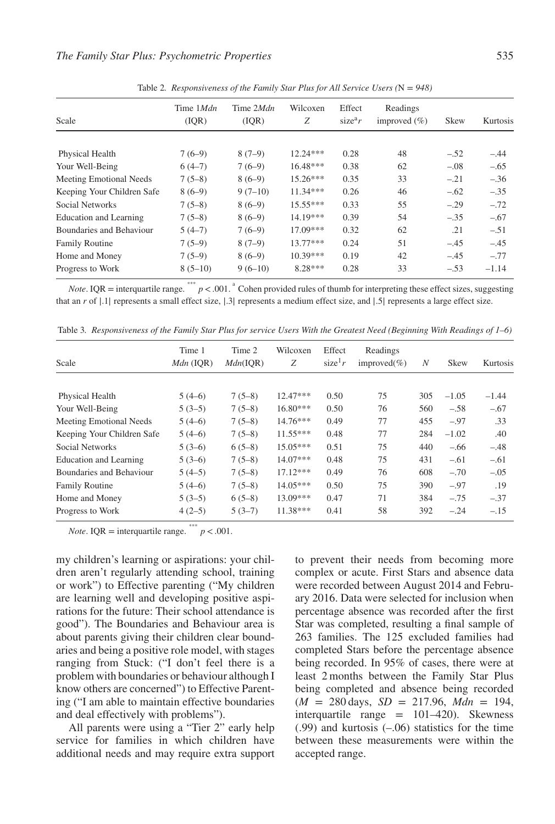| Scale                      | Time 1 <i>Mdn</i><br>(IOR) | Time 2Mdn<br>(IQR) | Wilcoxen<br>Z | Effect<br>size <sup>a</sup> r | Readings<br>improved $(\% )$ | <b>Skew</b> | Kurtosis |
|----------------------------|----------------------------|--------------------|---------------|-------------------------------|------------------------------|-------------|----------|
| Physical Health            | $7(6-9)$                   | $8(7-9)$           | $12.24***$    | 0.28                          | 48                           | $-.52$      | $-.44$   |
| Your Well-Being            | $6(4-7)$                   | $7(6-9)$           | $16.48***$    | 0.38                          | 62                           | $-.08$      | $-.65$   |
| Meeting Emotional Needs    | $7(5-8)$                   | $8(6-9)$           | $15.26***$    | 0.35                          | 33                           | $-.21$      | $-.36$   |
| Keeping Your Children Safe | $8(6-9)$                   | $9(7-10)$          | $11.34***$    | 0.26                          | 46                           | $-.62$      | $-.35$   |
| Social Networks            | $7(5-8)$                   | $8(6-9)$           | $15.55***$    | 0.33                          | 55                           | $-.29$      | $-.72$   |
| Education and Learning     | $7(5-8)$                   | $8(6-9)$           | 14.19***      | 0.39                          | 54                           | $-.35$      | $-.67$   |
| Boundaries and Behaviour   | $5(4-7)$                   | $7(6-9)$           | $17.09***$    | 0.32                          | 62                           | .21         | $-.51$   |
| Family Routine             | $7(5-9)$                   | $8(7-9)$           | $13.77***$    | 0.24                          | 51                           | $-.45$      | $-.45$   |
| Home and Money             | $7(5-9)$                   | $8(6-9)$           | $10.39***$    | 0.19                          | 42                           | $-.45$      | $-.77$   |
| Progress to Work           | $8(5-10)$                  | $9(6-10)$          | $8.28***$     | 0.28                          | 33                           | $-.53$      | $-1.14$  |

Table 2*. Responsiveness of the Family Star Plus for All Service Users (*N = *948)*

*Note*. IQR = interquartile range.  $\cdot^{**}$   $p < .001$ .  $\cdot^{*}$  Cohen provided rules of thumb for interpreting these effect sizes, suggesting that an *r* of  $|.1|$  represents a small effect size,  $|.3|$  represents a medium effect size, and  $|.5|$  represents a large effect size.

Table 3*. Responsiveness of the Family Star Plus for service Users With the Greatest Need (Beginning With Readings of 1–6)*

| Scale                      | Time 1<br>$Mdn$ (IOR) | Time 2<br>Mdn(IOR) | Wilcoxen<br>Z | Effect<br>size <sup>1</sup> r | Readings<br>improved $(\% )$ | N   | <b>Skew</b> | Kurtosis |
|----------------------------|-----------------------|--------------------|---------------|-------------------------------|------------------------------|-----|-------------|----------|
|                            |                       |                    |               |                               |                              |     |             |          |
| Physical Health            | $5(4-6)$              | $7(5-8)$           | $12.47***$    | 0.50                          | 75                           | 305 | $-1.05$     | $-1.44$  |
| Your Well-Being            | $5(3-5)$              | $7(5-8)$           | 16.80***      | 0.50                          | 76                           | 560 | $-.58$      | $-.67$   |
| Meeting Emotional Needs    | $5(4-6)$              | $7(5-8)$           | $14.76***$    | 0.49                          | 77                           | 455 | $-.97$      | .33      |
| Keeping Your Children Safe | $5(4-6)$              | $7(5-8)$           | $11.55***$    | 0.48                          | 77                           | 284 | $-1.02$     | .40      |
| Social Networks            | $5(3-6)$              | $6(5-8)$           | $15.05***$    | 0.51                          | 75                           | 440 | $-.66$      | $-.48$   |
| Education and Learning     | $5(3-6)$              | $7(5-8)$           | $14.07***$    | 0.48                          | 75                           | 431 | $-.61$      | $-.61$   |
| Boundaries and Behaviour   | $5(4-5)$              | $7(5-8)$           | $17.12***$    | 0.49                          | 76                           | 608 | $-.70$      | $-.05$   |
| Family Routine             | $5(4-6)$              | $7(5-8)$           | $14.05***$    | 0.50                          | 75                           | 390 | $-.97$      | .19      |
| Home and Money             | $5(3-5)$              | $6(5-8)$           | 13.09***      | 0.47                          | 71                           | 384 | $-.75$      | $-.37$   |
| Progress to Work           | $4(2-5)$              | $5(3-7)$           | 11.38***      | 0.41                          | 58                           | 392 | $-.24$      | $-.15$   |

*Note*. IQR = interquartile range.  $\frac{1}{p}$  *p* < .001.

my children's learning or aspirations: your children aren't regularly attending school, training or work") to Effective parenting ("My children are learning well and developing positive aspirations for the future: Their school attendance is good"). The Boundaries and Behaviour area is about parents giving their children clear boundaries and being a positive role model, with stages ranging from Stuck: ("I don't feel there is a problem with boundaries or behaviour although I know others are concerned") to Effective Parenting ("I am able to maintain effective boundaries and deal effectively with problems").

All parents were using a "Tier 2" early help service for families in which children have additional needs and may require extra support

to prevent their needs from becoming more complex or acute. First Stars and absence data were recorded between August 2014 and February 2016. Data were selected for inclusion when percentage absence was recorded after the first Star was completed, resulting a final sample of 263 families. The 125 excluded families had completed Stars before the percentage absence being recorded. In 95% of cases, there were at least 2 months between the Family Star Plus being completed and absence being recorded (*M* = 280 days, *SD* = 217.96, *Mdn* = 194, interquartile range = 101–420). Skewness (.99) and kurtosis (–.06) statistics for the time between these measurements were within the accepted range.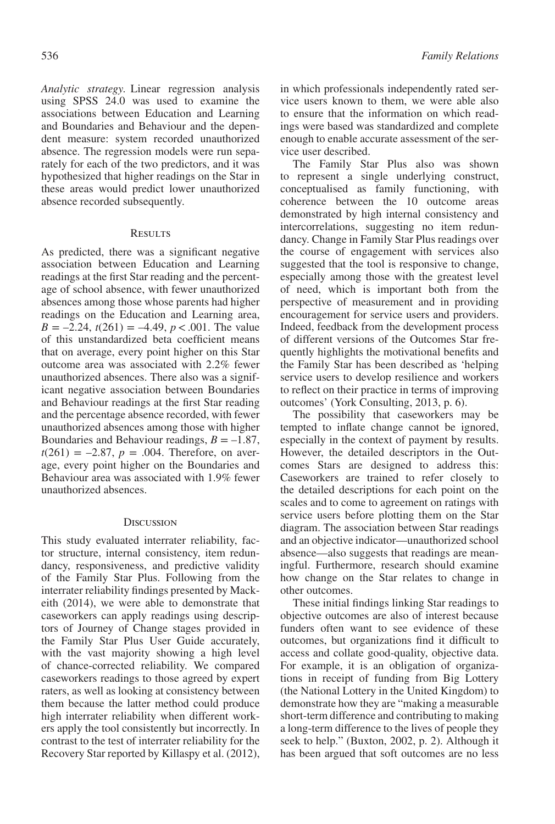*Analytic strategy.* Linear regression analysis using SPSS 24.0 was used to examine the associations between Education and Learning and Boundaries and Behaviour and the dependent measure: system recorded unauthorized absence. The regression models were run separately for each of the two predictors, and it was hypothesized that higher readings on the Star in these areas would predict lower unauthorized absence recorded subsequently.

#### **RESULTS**

As predicted, there was a significant negative association between Education and Learning readings at the first Star reading and the percentage of school absence, with fewer unauthorized absences among those whose parents had higher readings on the Education and Learning area,  $B = -2.24$ ,  $t(261) = -4.49$ ,  $p < .001$ . The value of this unstandardized beta coefficient means that on average, every point higher on this Star outcome area was associated with 2.2% fewer unauthorized absences. There also was a significant negative association between Boundaries and Behaviour readings at the first Star reading and the percentage absence recorded, with fewer unauthorized absences among those with higher Boundaries and Behaviour readings,  $B = -1.87$ ,  $t(261) = -2.87$ ,  $p = .004$ . Therefore, on average, every point higher on the Boundaries and Behaviour area was associated with 1.9% fewer unauthorized absences.

## **DISCUSSION**

This study evaluated interrater reliability, factor structure, internal consistency, item redundancy, responsiveness, and predictive validity of the Family Star Plus. Following from the interrater reliability findings presented by Mackeith (2014), we were able to demonstrate that caseworkers can apply readings using descriptors of Journey of Change stages provided in the Family Star Plus User Guide accurately, with the vast majority showing a high level of chance-corrected reliability. We compared caseworkers readings to those agreed by expert raters, as well as looking at consistency between them because the latter method could produce high interrater reliability when different workers apply the tool consistently but incorrectly. In contrast to the test of interrater reliability for the Recovery Star reported by Killaspy et al. (2012), in which professionals independently rated service users known to them, we were able also to ensure that the information on which readings were based was standardized and complete enough to enable accurate assessment of the service user described.

The Family Star Plus also was shown to represent a single underlying construct, conceptualised as family functioning, with coherence between the 10 outcome areas demonstrated by high internal consistency and intercorrelations, suggesting no item redundancy. Change in Family Star Plus readings over the course of engagement with services also suggested that the tool is responsive to change, especially among those with the greatest level of need, which is important both from the perspective of measurement and in providing encouragement for service users and providers. Indeed, feedback from the development process of different versions of the Outcomes Star frequently highlights the motivational benefits and the Family Star has been described as 'helping service users to develop resilience and workers to reflect on their practice in terms of improving outcomes' (York Consulting, 2013, p. 6).

The possibility that caseworkers may be tempted to inflate change cannot be ignored, especially in the context of payment by results. However, the detailed descriptors in the Outcomes Stars are designed to address this: Caseworkers are trained to refer closely to the detailed descriptions for each point on the scales and to come to agreement on ratings with service users before plotting them on the Star diagram. The association between Star readings and an objective indicator—unauthorized school absence—also suggests that readings are meaningful. Furthermore, research should examine how change on the Star relates to change in other outcomes.

These initial findings linking Star readings to objective outcomes are also of interest because funders often want to see evidence of these outcomes, but organizations find it difficult to access and collate good-quality, objective data. For example, it is an obligation of organizations in receipt of funding from Big Lottery (the National Lottery in the United Kingdom) to demonstrate how they are "making a measurable short-term difference and contributing to making a long-term difference to the lives of people they seek to help." (Buxton, 2002, p. 2). Although it has been argued that soft outcomes are no less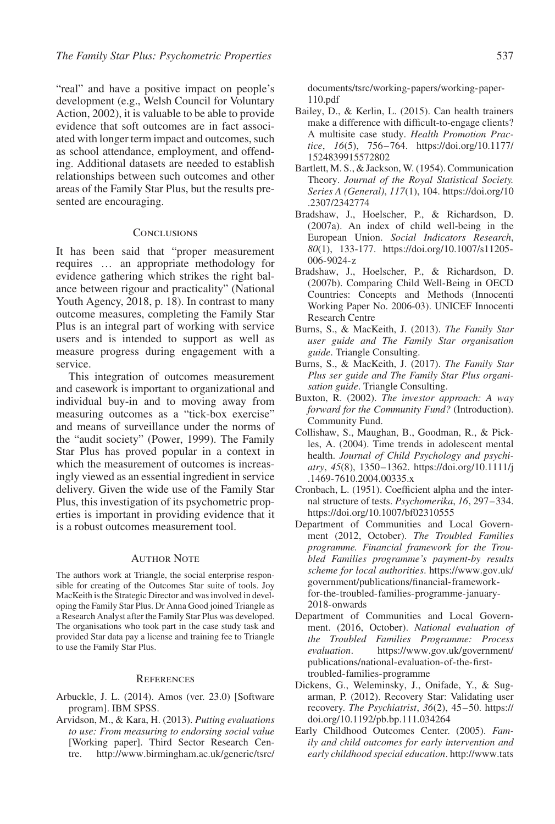"real" and have a positive impact on people's development (e.g., Welsh Council for Voluntary Action, 2002), it is valuable to be able to provide evidence that soft outcomes are in fact associated with longer term impact and outcomes, such as school attendance, employment, and offending. Additional datasets are needed to establish relationships between such outcomes and other areas of the Family Star Plus, but the results presented are encouraging.

#### **CONCLUSIONS**

It has been said that "proper measurement requires … an appropriate methodology for evidence gathering which strikes the right balance between rigour and practicality" (National Youth Agency, 2018, p. 18). In contrast to many outcome measures, completing the Family Star Plus is an integral part of working with service users and is intended to support as well as measure progress during engagement with a service.

This integration of outcomes measurement and casework is important to organizational and individual buy-in and to moving away from measuring outcomes as a "tick-box exercise" and means of surveillance under the norms of the "audit society" (Power, 1999). The Family Star Plus has proved popular in a context in which the measurement of outcomes is increasingly viewed as an essential ingredient in service delivery. Given the wide use of the Family Star Plus, this investigation of its psychometric properties is important in providing evidence that it is a robust outcomes measurement tool.

#### **AUTHOR NOTE**

The authors work at Triangle, the social enterprise responsible for creating of the Outcomes Star suite of tools. Joy MacKeith is the Strategic Director and was involved in developing the Family Star Plus. Dr Anna Good joined Triangle as a Research Analyst after the Family Star Plus was developed. The organisations who took part in the case study task and provided Star data pay a license and training fee to Triangle to use the Family Star Plus.

#### **REFERENCES**

- Arbuckle, J. L. (2014). Amos (ver. 23.0) [Software program]. IBM SPSS.
- Arvidson, M., & Kara, H. (2013). *Putting evaluations to use: From measuring to endorsing social value* [Working paper]. Third Sector Research Centre. [http://www.birmingham.ac.uk/generic/tsrc/](http://www.birmingham.ac.uk/generic/tsrc/documents/tsrc/working-papers/working-paper-110.pdf)

[documents/tsrc/working-papers/working-paper-](http://www.birmingham.ac.uk/generic/tsrc/documents/tsrc/working-papers/working-paper-110.pdf)[110.pdf](http://www.birmingham.ac.uk/generic/tsrc/documents/tsrc/working-papers/working-paper-110.pdf)

- Bailey, D., & Kerlin, L. (2015). Can health trainers make a difference with difficult-to-engage clients? A multisite case study. *Health Promotion Practice*, *16*(5), 756–764. [https://doi.org/10.1177/](https://doi.org/10.1177/1524839915572802) [1524839915572802](https://doi.org/10.1177/1524839915572802)
- Bartlett, M. S., & Jackson, W. (1954). Communication Theory. *Journal of the Royal Statistical Society. Series A (General)*, *117*(1), 104. [https://doi.org/10](https://doi.org/10.2307/2342774) [.2307/2342774](https://doi.org/10.2307/2342774)
- Bradshaw, J., Hoelscher, P., & Richardson, D. (2007a). An index of child well-being in the European Union. *Social Indicators Research*, *80*(1), 133-177. [https://doi.org/10.1007/s11205-](https://doi.org/10.1007/s11205-006-9024-z) [006-9024-z](https://doi.org/10.1007/s11205-006-9024-z)
- Bradshaw, J., Hoelscher, P., & Richardson, D. (2007b). Comparing Child Well-Being in OECD Countries: Concepts and Methods (Innocenti Working Paper No. 2006-03). UNICEF Innocenti Research Centre
- Burns, S., & MacKeith, J. (2013). *The Family Star user guide and The Family Star organisation guide*. Triangle Consulting.
- Burns, S., & MacKeith, J. (2017). *The Family Star Plus ser guide and The Family Star Plus organisation guide*. Triangle Consulting.
- Buxton, R. (2002). *The investor approach: A way forward for the Community Fund?* (Introduction). Community Fund.
- Collishaw, S., Maughan, B., Goodman, R., & Pickles, A. (2004). Time trends in adolescent mental health. *Journal of Child Psychology and psychiatry*, *45*(8), 1350–1362. [https://doi.org/10.1111/j](https://doi.org/10.1111/j.1469-7610.2004.00335.x) [.1469-7610.2004.00335.x](https://doi.org/10.1111/j.1469-7610.2004.00335.x)
- Cronbach, L. (1951). Coefficient alpha and the internal structure of tests. *Psychomerika*, *16*, 297–334. <https://doi.org/10.1007/bf02310555>
- Department of Communities and Local Government (2012, October). *The Troubled Families programme. Financial framework for the Troubled Families programme's payment-by results scheme for local authorities*. [https://www.gov.uk/](https://www.gov.uk/government/publications/financial-framework-for-the-troubled-families-programme-january-2018-onwards) [government/publications/financial-framework](https://www.gov.uk/government/publications/financial-framework-for-the-troubled-families-programme-january-2018-onwards)[for-the-troubled-families-programme-january-](https://www.gov.uk/government/publications/financial-framework-for-the-troubled-families-programme-january-2018-onwards)[2018-onwards](https://www.gov.uk/government/publications/financial-framework-for-the-troubled-families-programme-january-2018-onwards)
- Department of Communities and Local Government. (2016, October). *National evaluation of the Troubled Families Programme: Process evaluation*. [https://www.gov.uk/government/](https://www.gov.uk/government/publications/national-evaluation-of-the-first-troubled-families-programme) [publications/national-evaluation-of-the-first](https://www.gov.uk/government/publications/national-evaluation-of-the-first-troubled-families-programme)[troubled-families-programme](https://www.gov.uk/government/publications/national-evaluation-of-the-first-troubled-families-programme)
- Dickens, G., Weleminsky, J., Onifade, Y., & Sugarman, P. (2012). Recovery Star: Validating user recovery. *The Psychiatrist*, *36*(2), 45–50. [https://](https://doi.org/10.1192/pb.bp.111.034264) [doi.org/10.1192/pb.bp.111.034264](https://doi.org/10.1192/pb.bp.111.034264)
- Early Childhood Outcomes Center. (2005). *Family and child outcomes for early intervention and early childhood special education*. [http://www.tats](http://www.tats.ucf.edu/docs/ECO_Family_Outcomes_Issues_01172005.pdf)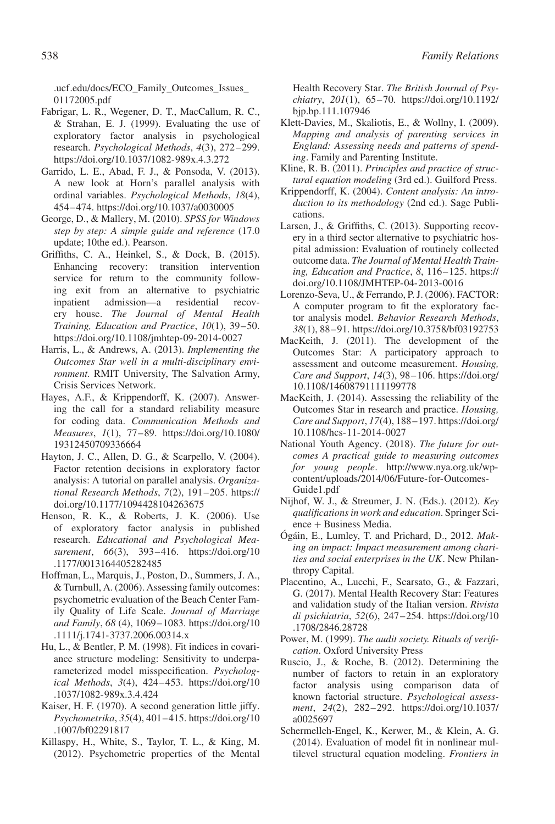[.ucf.edu/docs/ECO\\_Family\\_Outcomes\\_Issues\\_](http://www.tats.ucf.edu/docs/ECO_Family_Outcomes_Issues_01172005.pdf) [01172005.pdf](http://www.tats.ucf.edu/docs/ECO_Family_Outcomes_Issues_01172005.pdf)

- Fabrigar, L. R., Wegener, D. T., MacCallum, R. C., & Strahan, E. J. (1999). Evaluating the use of exploratory factor analysis in psychological research. *Psychological Methods*, *4*(3), 272–299. <https://doi.org/10.1037/1082-989x.4.3.272>
- Garrido, L. E., Abad, F. J., & Ponsoda, V. (2013). A new look at Horn's parallel analysis with ordinal variables. *Psychological Methods*, *18*(4), 454–474.<https://doi.org/10.1037/a0030005>
- George, D., & Mallery, M. (2010). *SPSS for Windows step by step: A simple guide and reference* (17.0 update; 10the ed.). Pearson.
- Griffiths, C. A., Heinkel, S., & Dock, B. (2015). Enhancing recovery: transition intervention service for return to the community following exit from an alternative to psychiatric inpatient admission—a residential recovery house. *The Journal of Mental Health Training, Education and Practice*, *10*(1), 39–50. <https://doi.org/10.1108/jmhtep-09-2014-0027>
- Harris, L., & Andrews, A. (2013). *Implementing the Outcomes Star well in a multi-disciplinary environment.* RMIT University, The Salvation Army, Crisis Services Network.
- Hayes, A.F., & Krippendorff, K. (2007). Answering the call for a standard reliability measure for coding data. *Communication Methods and Measures*, *1*(1), 77–89. [https://doi.org/10.1080/](https://doi.org/10.1080/19312450709336664) [19312450709336664](https://doi.org/10.1080/19312450709336664)
- Hayton, J. C., Allen, D. G., & Scarpello, V. (2004). Factor retention decisions in exploratory factor analysis: A tutorial on parallel analysis. *Organizational Research Methods*, *7*(2), 191–205. [https://](https://doi.org/10.1177/1094428104263675) [doi.org/10.1177/1094428104263675](https://doi.org/10.1177/1094428104263675)
- Henson, R. K., & Roberts, J. K. (2006). Use of exploratory factor analysis in published research. *Educational and Psychological Measurement*, *66*(3), 393–416. [https://doi.org/10](https://doi.org/10.1177/0013164405282485) [.1177/0013164405282485](https://doi.org/10.1177/0013164405282485)
- Hoffman, L., Marquis, J., Poston, D., Summers, J. A., & Turnbull, A. (2006). Assessing family outcomes: psychometric evaluation of the Beach Center Family Quality of Life Scale. *Journal of Marriage and Family*, *68* (4), 1069–1083. [https://doi.org/10](https://doi.org/10.1111/j.1741-3737.2006.00314.x) [.1111/j.1741-3737.2006.00314.x](https://doi.org/10.1111/j.1741-3737.2006.00314.x)
- Hu, L., & Bentler, P. M. (1998). Fit indices in covariance structure modeling: Sensitivity to underparameterized model misspecification. *Psychological Methods*, *3*(4), 424–453. [https://doi.org/10](https://doi.org/10.1037/1082-989x.3.4.424) [.1037/1082-989x.3.4.424](https://doi.org/10.1037/1082-989x.3.4.424)
- Kaiser, H. F. (1970). A second generation little jiffy. *Psychometrika*, *35*(4), 401–415. [https://doi.org/10](https://doi.org/10.1007/bf02291817) [.1007/bf02291817](https://doi.org/10.1007/bf02291817)
- Killaspy, H., White, S., Taylor, T. L., & King, M. (2012). Psychometric properties of the Mental

Health Recovery Star. *The British Journal of Psychiatry*, *201*(1), 65–70. [https://doi.org/10.1192/](https://doi.org/10.1192/bjp.bp.111.107946) [bjp.bp.111.107946](https://doi.org/10.1192/bjp.bp.111.107946)

- Klett-Davies, M., Skaliotis, E., & Wollny, I. (2009). *Mapping and analysis of parenting services in England: Assessing needs and patterns of spending*. Family and Parenting Institute.
- Kline, R. B. (2011). *Principles and practice of structural equation modeling* (3rd ed.). Guilford Press.
- Krippendorff, K. (2004). *Content analysis: An introduction to its methodology* (2nd ed.). Sage Publications.
- Larsen, J., & Griffiths, C. (2013). Supporting recovery in a third sector alternative to psychiatric hospital admission: Evaluation of routinely collected outcome data. *The Journal of Mental Health Training, Education and Practice*, *8*, 116–125. [https://](https://doi.org/10.1108/JMHTEP-04-2013-0016) [doi.org/10.1108/JMHTEP-04-2013-0016](https://doi.org/10.1108/JMHTEP-04-2013-0016)
- Lorenzo-Seva, U., & Ferrando, P. J. (2006). FACTOR: A computer program to fit the exploratory factor analysis model. *Behavior Research Methods*, *38*(1), 88–91.<https://doi.org/10.3758/bf03192753>
- MacKeith, J. (2011). The development of the Outcomes Star: A participatory approach to assessment and outcome measurement. *Housing, Care and Support*, *14*(3), 98–106. [https://doi.org/](https://doi.org/10.1108/14608791111199778) [10.1108/14608791111199778](https://doi.org/10.1108/14608791111199778)
- MacKeith, J. (2014). Assessing the reliability of the Outcomes Star in research and practice. *Housing, Care and Support*, *17*(4), 188–197. [https://doi.org/](https://doi.org/10.1108/hcs-11-2014-0027) [10.1108/hcs-11-2014-0027](https://doi.org/10.1108/hcs-11-2014-0027)
- National Youth Agency. (2018). *The future for outcomes A practical guide to measuring outcomes for young people*. [http://www.nya.org.uk/wp](http://www.nya.org.uk/wp-content/uploads/2014/06/Future-for-Outcomes-Guide1.pdf)[content/uploads/2014/06/Future-for-Outcomes-](http://www.nya.org.uk/wp-content/uploads/2014/06/Future-for-Outcomes-Guide1.pdf)[Guide1.pdf](http://www.nya.org.uk/wp-content/uploads/2014/06/Future-for-Outcomes-Guide1.pdf)
- Nijhof, W. J., & Streumer, J. N. (Eds.). (2012). *Key qualifications in work and education*. Springer Science + Business Media.
- Ógáin, E., Lumley, T. and Prichard, D., 2012. *Making an impact: Impact measurement among charities and social enterprises in the UK*. New Philanthropy Capital.
- Placentino, A., Lucchi, F., Scarsato, G., & Fazzari, G. (2017). Mental Health Recovery Star: Features and validation study of the Italian version. *Rivista di psichiatria*, *52*(6), 247–254. [https://doi.org/10](https://doi.org/10.1708/2846.28728) [.1708/2846.28728](https://doi.org/10.1708/2846.28728)
- Power, M. (1999). *The audit society. Rituals of verification*. Oxford University Press
- Ruscio, J., & Roche, B. (2012). Determining the number of factors to retain in an exploratory factor analysis using comparison data of known factorial structure. *Psychological assessment*, *24*(2), 282–292. [https://doi.org/10.1037/](https://doi.org/10.1037/a0025697) [a0025697](https://doi.org/10.1037/a0025697)
- Schermelleh-Engel, K., Kerwer, M., & Klein, A. G. (2014). Evaluation of model fit in nonlinear multilevel structural equation modeling. *Frontiers in*